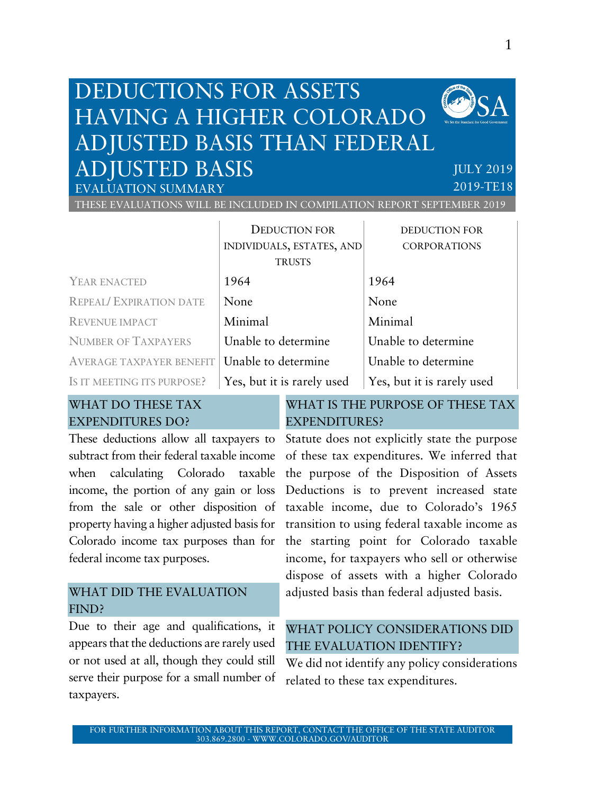## DEDUCTIONS FOR ASSETS HAVING A HIGHER COLORADO ADJUSTED BASIS THAN FEDERAL ADJUSTED BASIS



JULY 2019 2019-TE18

THESE EVALUATIONS WILL BE INCLUDED IN COMPILATION REPORT SEPTEMBER 2019

|                                 | <b>DEDUCTION FOR</b>       | <b>DEDUCTION FOR</b>       |  |
|---------------------------------|----------------------------|----------------------------|--|
|                                 | INDIVIDUALS, ESTATES, AND  | <b>CORPORATIONS</b>        |  |
|                                 | <b>TRUSTS</b>              |                            |  |
| YEAR ENACTED                    | 1964                       | 1964                       |  |
| <b>REPEAL/ EXPIRATION DATE</b>  | None                       | None                       |  |
| <b>REVENUE IMPACT</b>           | Minimal                    | Minimal                    |  |
| <b>NUMBER OF TAXPAYERS</b>      | Unable to determine        | Unable to determine        |  |
| <b>AVERAGE TAXPAYER BENEFIT</b> | Unable to determine        | Unable to determine        |  |
| IS IT MEETING ITS PURPOSE?      | Yes, but it is rarely used | Yes, but it is rarely used |  |

#### WHAT DO THESE TAX EXPENDITURES DO?

EVALUATION SUMMARY

These deductions allow all taxpayers to subtract from their federal taxable income when calculating Colorado taxable income, the portion of any gain or loss from the sale or other disposition of property having a higher adjusted basis for Colorado income tax purposes than for federal income tax purposes.

#### WHAT DID THE EVALUATION FIND?

Due to their age and qualifications, it appears that the deductions are rarely used or not used at all, though they could still serve their purpose for a small number of taxpayers.

#### WHAT IS THE PURPOSE OF THESE TAX EXPENDITURES?

Statute does not explicitly state the purpose of these tax expenditures. We inferred that the purpose of the Disposition of Assets Deductions is to prevent increased state taxable income, due to Colorado's 1965 transition to using federal taxable income as the starting point for Colorado taxable income, for taxpayers who sell or otherwise dispose of assets with a higher Colorado adjusted basis than federal adjusted basis.

#### WHAT POLICY CONSIDERATIONS DID THE EVALUATION IDENTIFY?

We did not identify any policy considerations related to these tax expenditures.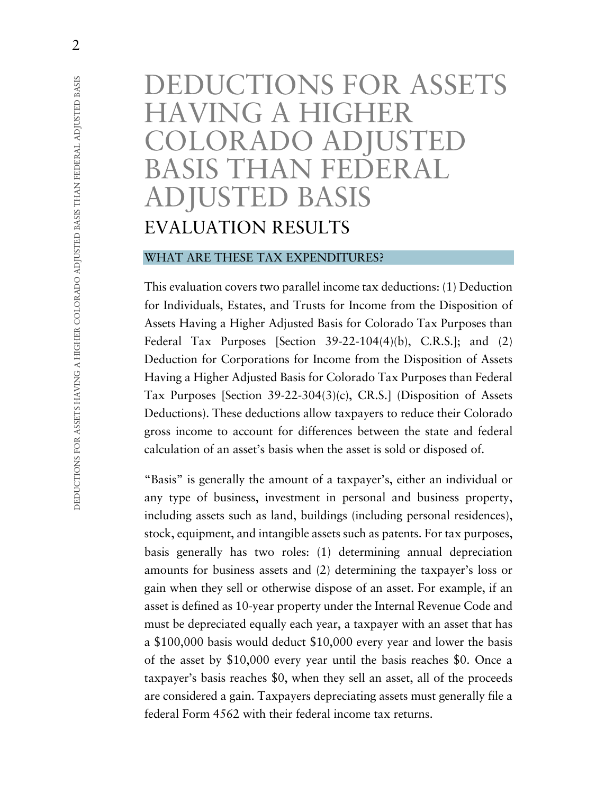# DEDUCTIONS FOR ASSETS HAVING A HIGHER COLORADO ADJUSTED BASIS THAN FEDERAL ADJUSTED BASIS EVALUATION RESULTS

#### WHAT ARE THESE TAX EXPENDITURES?

This evaluation covers two parallel income tax deductions: (1) Deduction for Individuals, Estates, and Trusts for Income from the Disposition of Assets Having a Higher Adjusted Basis for Colorado Tax Purposes than Federal Tax Purposes [Section 39-22-104(4)(b), C.R.S.]; and (2) Deduction for Corporations for Income from the Disposition of Assets Having a Higher Adjusted Basis for Colorado Tax Purposes than Federal Tax Purposes [Section 39-22-304(3)(c), CR.S.] (Disposition of Assets Deductions). These deductions allow taxpayers to reduce their Colorado gross income to account for differences between the state and federal calculation of an asset's basis when the asset is sold or disposed of.

"Basis" is generally the amount of a taxpayer's, either an individual or any type of business, investment in personal and business property, including assets such as land, buildings (including personal residences), stock, equipment, and intangible assets such as patents. For tax purposes, basis generally has two roles: (1) determining annual depreciation amounts for business assets and (2) determining the taxpayer's loss or gain when they sell or otherwise dispose of an asset. For example, if an asset is defined as 10-year property under the Internal Revenue Code and must be depreciated equally each year, a taxpayer with an asset that has a \$100,000 basis would deduct \$10,000 every year and lower the basis of the asset by \$10,000 every year until the basis reaches \$0. Once a taxpayer's basis reaches \$0, when they sell an asset, all of the proceeds are considered a gain. Taxpayers depreciating assets must generally file a federal Form 4562 with their federal income tax returns.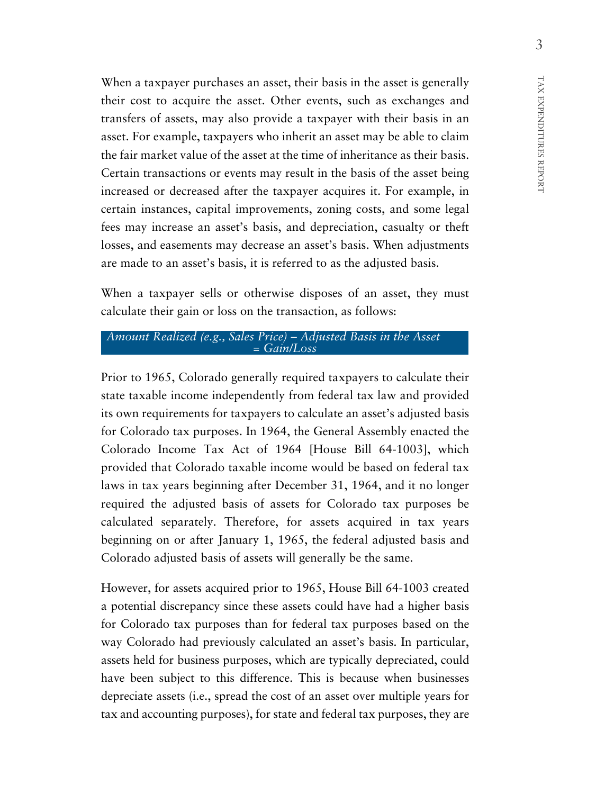When a taxpayer purchases an asset, their basis in the asset is generally their cost to acquire the asset. Other events, such as exchanges and transfers of assets, may also provide a taxpayer with their basis in an asset. For example, taxpayers who inherit an asset may be able to claim the fair market value of the asset at the time of inheritance as their basis. Certain transactions or events may result in the basis of the asset being increased or decreased after the taxpayer acquires it. For example, in certain instances, capital improvements, zoning costs, and some legal fees may increase an asset's basis, and depreciation, casualty or theft losses, and easements may decrease an asset's basis. When adjustments are made to an asset's basis, it is referred to as the adjusted basis.

When a taxpayer sells or otherwise disposes of an asset, they must calculate their gain or loss on the transaction, as follows:

#### *Amount Realized (e.g., Sales Price) – Adjusted Basis in the Asset = Gain/Loss*

Prior to 1965, Colorado generally required taxpayers to calculate their state taxable income independently from federal tax law and provided its own requirements for taxpayers to calculate an asset's adjusted basis for Colorado tax purposes. In 1964, the General Assembly enacted the Colorado Income Tax Act of 1964 [House Bill 64-1003], which provided that Colorado taxable income would be based on federal tax laws in tax years beginning after December 31, 1964, and it no longer required the adjusted basis of assets for Colorado tax purposes be calculated separately. Therefore, for assets acquired in tax years beginning on or after January 1, 1965, the federal adjusted basis and Colorado adjusted basis of assets will generally be the same.

However, for assets acquired prior to 1965, House Bill 64-1003 created a potential discrepancy since these assets could have had a higher basis for Colorado tax purposes than for federal tax purposes based on the way Colorado had previously calculated an asset's basis. In particular, assets held for business purposes, which are typically depreciated, could have been subject to this difference. This is because when businesses depreciate assets (i.e., spread the cost of an asset over multiple years for tax and accounting purposes), for state and federal tax purposes, they are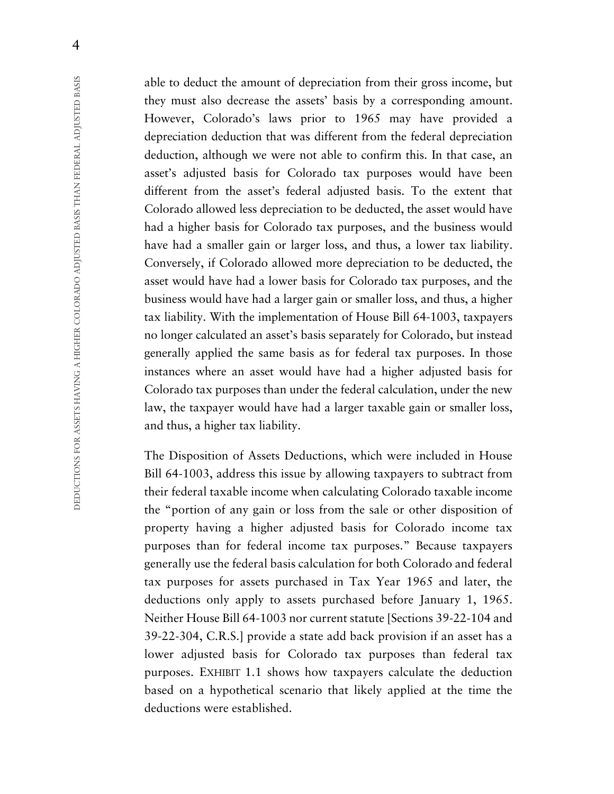able to deduct the amount of depreciation from their gross income, but they must also decrease the assets' basis by a corresponding amount. However, Colorado's laws prior to 1965 may have provided a depreciation deduction that was different from the federal depreciation deduction, although we were not able to confirm this. In that case, an asset's adjusted basis for Colorado tax purposes would have been different from the asset's federal adjusted basis. To the extent that Colorado allowed less depreciation to be deducted, the asset would have had a higher basis for Colorado tax purposes, and the business would have had a smaller gain or larger loss, and thus, a lower tax liability. Conversely, if Colorado allowed more depreciation to be deducted, the asset would have had a lower basis for Colorado tax purposes, and the business would have had a larger gain or smaller loss, and thus, a higher tax liability. With the implementation of House Bill 64-1003, taxpayers no longer calculated an asset's basis separately for Colorado, but instead generally applied the same basis as for federal tax purposes. In those instances where an asset would have had a higher adjusted basis for Colorado tax purposes than under the federal calculation, under the new law, the taxpayer would have had a larger taxable gain or smaller loss, and thus, a higher tax liability.

The Disposition of Assets Deductions, which were included in House Bill 64-1003, address this issue by allowing taxpayers to subtract from their federal taxable income when calculating Colorado taxable income the "portion of any gain or loss from the sale or other disposition of property having a higher adjusted basis for Colorado income tax purposes than for federal income tax purposes." Because taxpayers generally use the federal basis calculation for both Colorado and federal tax purposes for assets purchased in Tax Year 1965 and later, the deductions only apply to assets purchased before January 1, 1965. Neither House Bill 64-1003 nor current statute [Sections 39-22-104 and 39-22-304, C.R.S.] provide a state add back provision if an asset has a lower adjusted basis for Colorado tax purposes than federal tax purposes. EXHIBIT 1.1 shows how taxpayers calculate the deduction based on a hypothetical scenario that likely applied at the time the deductions were established.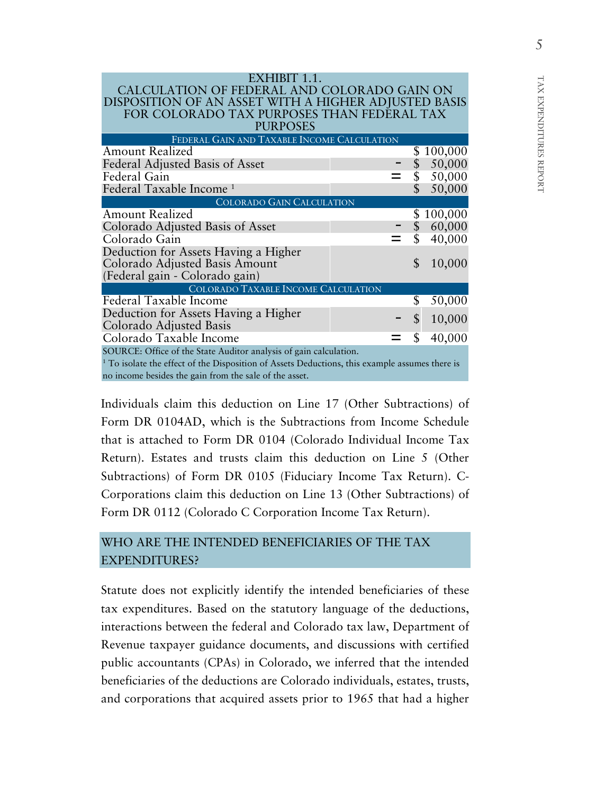|  | j<br>ξ<br>ز<br>٦ |
|--|------------------|
|  | EXPENDITURES REI |
|  |                  |
|  |                  |
|  | POR<br>٢<br>ν.   |

| DISPOSITION OF AN ASSET WITH A HIGHER ADJUSTED BASIS<br>FOR COLORADO TAX PURPOSES THAN FEDERAL TAX<br><b>PURPOSES</b><br>FEDERAL GAIN AND TAXABLE INCOME CALCULATION<br><b>Amount Realized</b><br>\$100,000<br>Federal Adjusted Basis of Asset<br>50,000<br>50,000<br>Federal Gain<br>50,000<br>COLORADO GAIN CALCULATION<br><b>Amount Realized</b><br>100,000<br>Colorado Adjusted Basis of Asset<br>60,000<br>\$<br>\$<br>40,000<br>Colorado Gain<br>Deduction for Assets Having a Higher<br>$\mathsf{\$}$<br>Colorado Adjusted Basis Amount<br>10,000<br>(Federal gain - Colorado gain)<br>COLORADO TAXABLE INCOME CALCULATION<br>Federal Taxable Income<br>\$<br>50,000<br>Deduction for Assets Having a Higher<br>$\mathsf{\$}$<br>10,000<br>Colorado Adjusted Basis<br>Colorado Taxable Income<br>40,000<br>\$<br>no income besides the gain from the sale of the asset. | CALCULATION OF FEDERAL AND COLORADO GAIN ON                                                               |  |  |  |  |  |  |  |
|--------------------------------------------------------------------------------------------------------------------------------------------------------------------------------------------------------------------------------------------------------------------------------------------------------------------------------------------------------------------------------------------------------------------------------------------------------------------------------------------------------------------------------------------------------------------------------------------------------------------------------------------------------------------------------------------------------------------------------------------------------------------------------------------------------------------------------------------------------------------------------|-----------------------------------------------------------------------------------------------------------|--|--|--|--|--|--|--|
|                                                                                                                                                                                                                                                                                                                                                                                                                                                                                                                                                                                                                                                                                                                                                                                                                                                                                |                                                                                                           |  |  |  |  |  |  |  |
|                                                                                                                                                                                                                                                                                                                                                                                                                                                                                                                                                                                                                                                                                                                                                                                                                                                                                |                                                                                                           |  |  |  |  |  |  |  |
|                                                                                                                                                                                                                                                                                                                                                                                                                                                                                                                                                                                                                                                                                                                                                                                                                                                                                |                                                                                                           |  |  |  |  |  |  |  |
|                                                                                                                                                                                                                                                                                                                                                                                                                                                                                                                                                                                                                                                                                                                                                                                                                                                                                |                                                                                                           |  |  |  |  |  |  |  |
|                                                                                                                                                                                                                                                                                                                                                                                                                                                                                                                                                                                                                                                                                                                                                                                                                                                                                |                                                                                                           |  |  |  |  |  |  |  |
|                                                                                                                                                                                                                                                                                                                                                                                                                                                                                                                                                                                                                                                                                                                                                                                                                                                                                |                                                                                                           |  |  |  |  |  |  |  |
|                                                                                                                                                                                                                                                                                                                                                                                                                                                                                                                                                                                                                                                                                                                                                                                                                                                                                |                                                                                                           |  |  |  |  |  |  |  |
|                                                                                                                                                                                                                                                                                                                                                                                                                                                                                                                                                                                                                                                                                                                                                                                                                                                                                | Federal Taxable Income <sup>1</sup>                                                                       |  |  |  |  |  |  |  |
|                                                                                                                                                                                                                                                                                                                                                                                                                                                                                                                                                                                                                                                                                                                                                                                                                                                                                |                                                                                                           |  |  |  |  |  |  |  |
|                                                                                                                                                                                                                                                                                                                                                                                                                                                                                                                                                                                                                                                                                                                                                                                                                                                                                |                                                                                                           |  |  |  |  |  |  |  |
|                                                                                                                                                                                                                                                                                                                                                                                                                                                                                                                                                                                                                                                                                                                                                                                                                                                                                |                                                                                                           |  |  |  |  |  |  |  |
|                                                                                                                                                                                                                                                                                                                                                                                                                                                                                                                                                                                                                                                                                                                                                                                                                                                                                |                                                                                                           |  |  |  |  |  |  |  |
|                                                                                                                                                                                                                                                                                                                                                                                                                                                                                                                                                                                                                                                                                                                                                                                                                                                                                |                                                                                                           |  |  |  |  |  |  |  |
|                                                                                                                                                                                                                                                                                                                                                                                                                                                                                                                                                                                                                                                                                                                                                                                                                                                                                |                                                                                                           |  |  |  |  |  |  |  |
|                                                                                                                                                                                                                                                                                                                                                                                                                                                                                                                                                                                                                                                                                                                                                                                                                                                                                |                                                                                                           |  |  |  |  |  |  |  |
|                                                                                                                                                                                                                                                                                                                                                                                                                                                                                                                                                                                                                                                                                                                                                                                                                                                                                |                                                                                                           |  |  |  |  |  |  |  |
|                                                                                                                                                                                                                                                                                                                                                                                                                                                                                                                                                                                                                                                                                                                                                                                                                                                                                |                                                                                                           |  |  |  |  |  |  |  |
|                                                                                                                                                                                                                                                                                                                                                                                                                                                                                                                                                                                                                                                                                                                                                                                                                                                                                |                                                                                                           |  |  |  |  |  |  |  |
|                                                                                                                                                                                                                                                                                                                                                                                                                                                                                                                                                                                                                                                                                                                                                                                                                                                                                |                                                                                                           |  |  |  |  |  |  |  |
|                                                                                                                                                                                                                                                                                                                                                                                                                                                                                                                                                                                                                                                                                                                                                                                                                                                                                |                                                                                                           |  |  |  |  |  |  |  |
|                                                                                                                                                                                                                                                                                                                                                                                                                                                                                                                                                                                                                                                                                                                                                                                                                                                                                | SOURCE: Office of the State Auditor analysis of gain calculation.                                         |  |  |  |  |  |  |  |
|                                                                                                                                                                                                                                                                                                                                                                                                                                                                                                                                                                                                                                                                                                                                                                                                                                                                                | <sup>1</sup> To isolate the effect of the Disposition of Assets Deductions, this example assumes there is |  |  |  |  |  |  |  |
|                                                                                                                                                                                                                                                                                                                                                                                                                                                                                                                                                                                                                                                                                                                                                                                                                                                                                |                                                                                                           |  |  |  |  |  |  |  |

EXHIBIT 1.1.

Individuals claim this deduction on Line 17 (Other Subtractions) of Form DR 0104AD, which is the Subtractions from Income Schedule that is attached to Form DR 0104 (Colorado Individual Income Tax Return). Estates and trusts claim this deduction on Line 5 (Other Subtractions) of Form DR 0105 (Fiduciary Income Tax Return). C-Corporations claim this deduction on Line 13 (Other Subtractions) of Form DR 0112 (Colorado C Corporation Income Tax Return).

### WHO ARE THE INTENDED BENEFICIARIES OF THE TAX EXPENDITURES?

Statute does not explicitly identify the intended beneficiaries of these tax expenditures. Based on the statutory language of the deductions, interactions between the federal and Colorado tax law, Department of Revenue taxpayer guidance documents, and discussions with certified public accountants (CPAs) in Colorado, we inferred that the intended beneficiaries of the deductions are Colorado individuals, estates, trusts, and corporations that acquired assets prior to 1965 that had a higher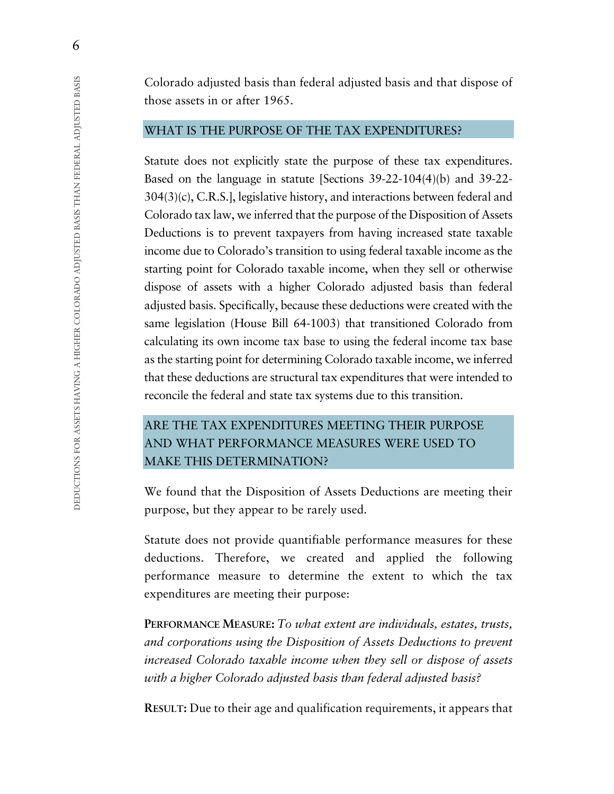Colorado adjusted basis than federal adjusted basis and that dispose of those assets in or after 1965.

#### WHAT IS THE PURPOSE OF THE TAX EXPENDITURES?

Statute does not explicitly state the purpose of these tax expenditures. Based on the language in statute [Sections 39-22-104(4)(b) and 39-22- 304(3)(c), C.R.S.], legislative history, and interactions between federal and Colorado tax law, we inferred that the purpose of the Disposition of Assets Deductions is to prevent taxpayers from having increased state taxable income due to Colorado's transition to using federal taxable income as the starting point for Colorado taxable income, when they sell or otherwise dispose of assets with a higher Colorado adjusted basis than federal adjusted basis. Specifically, because these deductions were created with the same legislation (House Bill 64-1003) that transitioned Colorado from calculating its own income tax base to using the federal income tax base as the starting point for determining Colorado taxable income, we inferred that these deductions are structural tax expenditures that were intended to reconcile the federal and state tax systems due to this transition.

## ARE THE TAX EXPENDITURES MEETING THEIR PURPOSE AND WHAT PERFORMANCE MEASURES WERE USED TO MAKE THIS DETERMINATION?

We found that the Disposition of Assets Deductions are meeting their purpose, but they appear to be rarely used.

Statute does not provide quantifiable performance measures for these deductions. Therefore, we created and applied the following performance measure to determine the extent to which the tax expenditures are meeting their purpose:

**PERFORMANCE MEASURE:** *To what extent are individuals, estates, trusts, and corporations using the Disposition of Assets Deductions to prevent increased Colorado taxable income when they sell or dispose of assets with a higher Colorado adjusted basis than federal adjusted basis?*

**RESULT:** Due to their age and qualification requirements, it appears that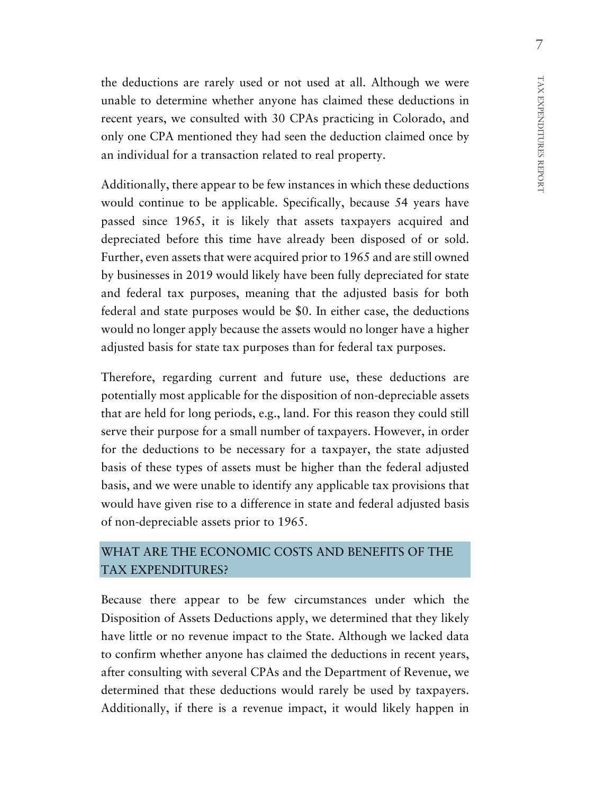the deductions are rarely used or not used at all. Although we were unable to determine whether anyone has claimed these deductions in recent years, we consulted with 30 CPAs practicing in Colorado, and only one CPA mentioned they had seen the deduction claimed once by an individual for a transaction related to real property.

Additionally, there appear to be few instances in which these deductions would continue to be applicable. Specifically, because 54 years have passed since 1965, it is likely that assets taxpayers acquired and depreciated before this time have already been disposed of or sold. Further, even assets that were acquired prior to 1965 and are still owned by businesses in 2019 would likely have been fully depreciated for state and federal tax purposes, meaning that the adjusted basis for both federal and state purposes would be \$0. In either case, the deductions would no longer apply because the assets would no longer have a higher adjusted basis for state tax purposes than for federal tax purposes.

Therefore, regarding current and future use, these deductions are potentially most applicable for the disposition of non-depreciable assets that are held for long periods, e.g., land. For this reason they could still serve their purpose for a small number of taxpayers. However, in order for the deductions to be necessary for a taxpayer, the state adjusted basis of these types of assets must be higher than the federal adjusted basis, and we were unable to identify any applicable tax provisions that would have given rise to a difference in state and federal adjusted basis of non-depreciable assets prior to 1965.

#### WHAT ARE THE ECONOMIC COSTS AND BENEFITS OF THE TAX EXPENDITURES?

Because there appear to be few circumstances under which the Disposition of Assets Deductions apply, we determined that they likely have little or no revenue impact to the State. Although we lacked data to confirm whether anyone has claimed the deductions in recent years, after consulting with several CPAs and the Department of Revenue, we determined that these deductions would rarely be used by taxpayers. Additionally, if there is a revenue impact, it would likely happen in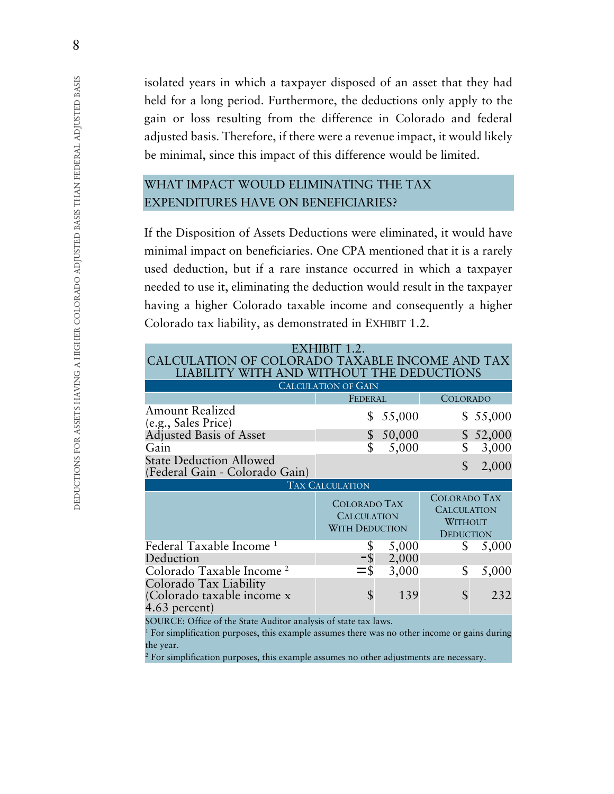isolated years in which a taxpayer disposed of an asset that they had held for a long period. Furthermore, the deductions only apply to the gain or loss resulting from the difference in Colorado and federal adjusted basis. Therefore, if there were a revenue impact, it would likely be minimal, since this impact of this difference would be limited.

## WHAT IMPACT WOULD ELIMINATING THE TAX EXPENDITURES HAVE ON BENEFICIARIES?

If the Disposition of Assets Deductions were eliminated, it would have minimal impact on beneficiaries. One CPA mentioned that it is a rarely used deduction, but if a rare instance occurred in which a taxpayer needed to use it, eliminating the deduction would result in the taxpayer having a higher Colorado taxable income and consequently a higher Colorado tax liability, as demonstrated in EXHIBIT 1.2.

| EXHIBIT 1.2.<br>CALCULATION OF COLORADO TAXABLE INCOME AND TAX<br>LIABILITY WITH AND WITHOUT THE DEDUCTIONS |                                                                    |        |                                                      |          |  |  |  |  |
|-------------------------------------------------------------------------------------------------------------|--------------------------------------------------------------------|--------|------------------------------------------------------|----------|--|--|--|--|
| <b>CALCULATION OF GAIN</b>                                                                                  |                                                                    |        |                                                      |          |  |  |  |  |
|                                                                                                             | FEDERAL                                                            |        | COLORADO                                             |          |  |  |  |  |
| <b>Amount Realized</b><br>(e.g., Sales Price)                                                               | \$                                                                 | 55,000 | \$                                                   | 55,000   |  |  |  |  |
| <b>Adjusted Basis of Asset</b>                                                                              |                                                                    | 50,000 |                                                      | \$52,000 |  |  |  |  |
| Gain                                                                                                        |                                                                    | 5,000  | \$                                                   | 3,000    |  |  |  |  |
| <b>State Deduction Allowed</b><br>(Federal Gain - Colorado Gain)                                            |                                                                    |        | $\mathcal{S}$                                        | 2,000    |  |  |  |  |
| <b>TAX CALCULATION</b>                                                                                      |                                                                    |        |                                                      |          |  |  |  |  |
|                                                                                                             | <b>COLORADO TAX</b><br><b>CALCULATION</b><br><b>WITH DEDUCTION</b> |        | <b>COLORADO TAX</b><br><b>CALCULATION</b><br>WITHOUT |          |  |  |  |  |
|                                                                                                             |                                                                    |        | <b>DEDUCTION</b>                                     |          |  |  |  |  |
| Federal Taxable Income <sup>1</sup>                                                                         |                                                                    | 5,000  | \$                                                   | 5,000    |  |  |  |  |
| Deduction                                                                                                   | -\$                                                                | 2,000  |                                                      |          |  |  |  |  |
| Colorado Taxable Income <sup>2</sup>                                                                        | $=$ \$                                                             | 3,000  | \$                                                   | 5,000    |  |  |  |  |

SOURCE: Office of the State Auditor analysis of state tax laws.

<sup>1</sup> For simplification purposes, this example assumes there was no other income or gains during the year.

 $2$  For simplification purposes, this example assumes no other adjustments are necessary.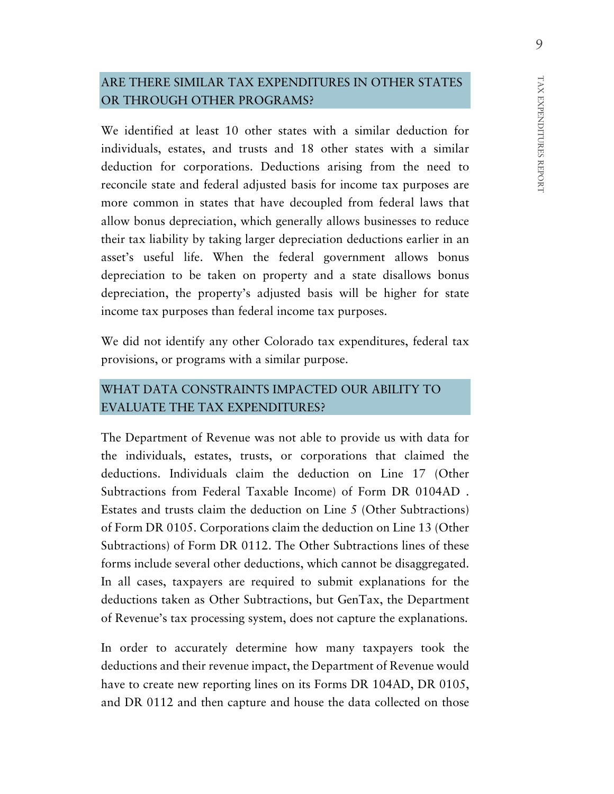#### ARE THERE SIMILAR TAX EXPENDITURES IN OTHER STATES OR THROUGH OTHER PROGRAMS?

We identified at least 10 other states with a similar deduction for individuals, estates, and trusts and 18 other states with a similar deduction for corporations. Deductions arising from the need to reconcile state and federal adjusted basis for income tax purposes are more common in states that have decoupled from federal laws that allow bonus depreciation, which generally allows businesses to reduce their tax liability by taking larger depreciation deductions earlier in an asset's useful life. When the federal government allows bonus depreciation to be taken on property and a state disallows bonus depreciation, the property's adjusted basis will be higher for state income tax purposes than federal income tax purposes.

We did not identify any other Colorado tax expenditures, federal tax provisions, or programs with a similar purpose.

## WHAT DATA CONSTRAINTS IMPACTED OUR ABILITY TO EVALUATE THE TAX EXPENDITURES?

The Department of Revenue was not able to provide us with data for the individuals, estates, trusts, or corporations that claimed the deductions. Individuals claim the deduction on Line 17 (Other Subtractions from Federal Taxable Income) of Form DR 0104AD . Estates and trusts claim the deduction on Line 5 (Other Subtractions) of Form DR 0105. Corporations claim the deduction on Line 13 (Other Subtractions) of Form DR 0112. The Other Subtractions lines of these forms include several other deductions, which cannot be disaggregated. In all cases, taxpayers are required to submit explanations for the deductions taken as Other Subtractions, but GenTax, the Department of Revenue's tax processing system, does not capture the explanations.

In order to accurately determine how many taxpayers took the deductions and their revenue impact, the Department of Revenue would have to create new reporting lines on its Forms DR 104AD, DR 0105, and DR 0112 and then capture and house the data collected on those